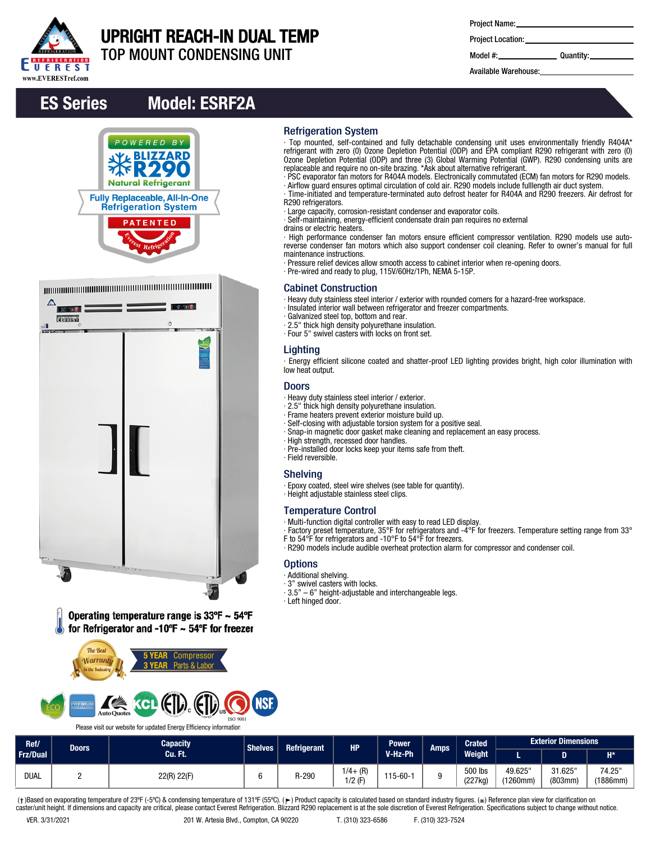

## UPRIGHT REACH-IN DUAL TEMP

m

**Contractor** 

TOP MOUNT CONDENSING UNIT

| Project Name: |  |
|---------------|--|
|---------------|--|

∙ Top mounted, self-contained and fully detachable condensing unit uses environmentally friendly R404A\* refrigerant with zero (0) Ozone Depletion Potential (ODP) and EPA compliant R290 refrigerant with zero (0) Ozone Depletion Potential (ODP) and three (3) Global Warming Potential (GWP). R290 condensing units are

∙ PSC evaporator fan motors for R404A models. Electronically commutated (ECM) fan motors for R290 models. ∙ Airflow guard ensures optimal circulation of cold air. R290 models include fulllength air duct system. ∙ Time-initiated and temperature-terminated auto defrost heater for R404A and R290 freezers. Air defrost for

∙ High performance condenser fan motors ensure efficient compressor ventilation. R290 models use autoreverse condenser fan motors which also support condenser coil cleaning. Refer to owner's manual for full

∙ Energy efficient silicone coated and shatter-proof LED lighting provides bright, high color illumination with

∙ Factory preset temperature, 35°F for refrigerators and -4°F for freezers. Temperature setting range from 33°

∙ R290 models include audible overheat protection alarm for compressor and condenser coil.

replaceable and require no on-site brazing. \*Ask about alternative refrigerant.

∙ Pressure relief devices allow smooth access to cabinet interior when re-opening doors.

∙ Heavy duty stainless steel interior / exterior with rounded corners for a hazard-free workspace.

∙ Large capacity, corrosion-resistant condenser and evaporator coils. ∙ Self-maintaining, energy-efficient condensate drain pan requires no external

∙ Pre-wired and ready to plug, 115V/60Hz/1Ph, NEMA 5-15P.

∙ Insulated interior wall between refrigerator and freezer compartments.

Project Location:

Model #: Quantity:

Available Warehouse:

## ES Series Model: ESRF2A



| $\Delta$<br>$30 - 8$<br><b>Evants</b><br>륻 | ,,,,,,,,,,,,,<br>$-0.111$<br>$\circ$<br>27 |  |
|--------------------------------------------|--------------------------------------------|--|
|                                            |                                            |  |
| $\bullet$                                  | ic.                                        |  |

Operating temperature range is  $33^{\circ}F \sim 54^{\circ}F$ for Refrigerator and -10°F  $\sim$  54°F for freezer



Please visit our website for updated Energy Efficiency information

| Ref/            |  | <b>Capacity</b><br><b>Power</b><br>Shelves <sup>1</sup><br><b>HP</b><br><b>Refrigerant</b><br><b>Doors</b><br>V-Hz-Ph<br>.Cu. Ft. |       | Amps                   | <b>Crated</b>  | <b>Exterior Dimensions</b> |                    |                     |                   |                    |
|-----------------|--|-----------------------------------------------------------------------------------------------------------------------------------|-------|------------------------|----------------|----------------------------|--------------------|---------------------|-------------------|--------------------|
| <b>Frz/Dual</b> |  |                                                                                                                                   |       |                        |                |                            | Weight             |                     |                   | $H^*$              |
| <b>DUAL</b>     |  | 22(R) 22(F)                                                                                                                       | R-290 | $1/4 + (R)$<br>1/2 (F) | $115 - 60 - 1$ |                            | 500 lbs<br>(227kg) | 49.625"<br>(1260mm) | 31.625<br>(803mm) | 74.25"<br>(1886mm) |

Refrigeration System

R290 refrigerators.

drains or electric heaters.

maintenance instructions.

**Lighting** 

low heat output. Doors

∙ Field reversible. Shelving

**Options** ∙ Additional shelving. ∙ 3" swivel casters with locks.

∙ Left hinged door.

Cabinet Construction

∙ Galvanized steel top, bottom and rear. ∙ 2.5" thick high density polyurethane insulation. ∙ Four 5" swivel casters with locks on front set.

∙ Heavy duty stainless steel interior / exterior. ∙ 2.5" thick high density polyurethane insulation. ∙ Frame heaters prevent exterior moisture build up.

∙ High strength, recessed door handles.

∙ Height adjustable stainless steel clips.

Temperature Control

∙ Self-closing with adjustable torsion system for a positive seal.

∙ Pre-installed door locks keep your items safe from theft.

∙ Epoxy coated, steel wire shelves (see table for quantity).

F to 54°F for refrigerators and -10°F to 54°F for freezers.

∙ 3.5" – 6" height-adjustable and interchangeable legs.

∙ Multi-function digital controller with easy to read LED display.

∙ Snap-in magnetic door gasket make cleaning and replacement an easy process.

(†)Based on evaporating temperature of 23ºF (-5ºC) & condensing temperature of 131ºF (55ºC). (ך) Product capacity is calculated based on standard industry figures. (\*) Reference plan view for clarification on<br>caster/unit h

**ISO 9001**